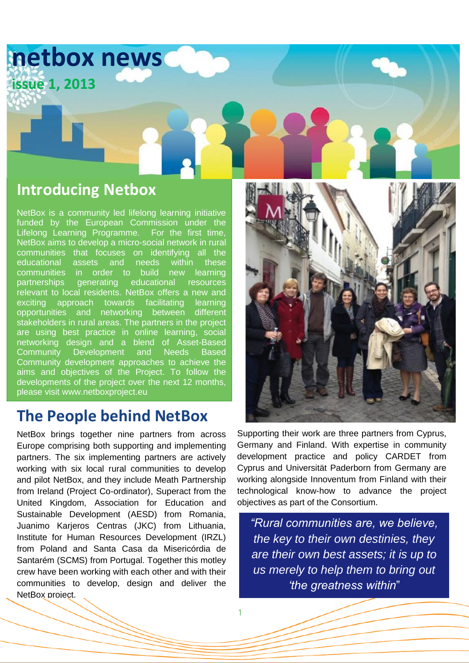

## **Introducing Netbox**

NetBox is a community led lifelong learning initiative funded by the European Commission under the Lifelong Learning Programme. For the first time, NetBox aims to develop a micro-social network in rural communities that focuses on identifying all the educational assets and needs within these communities in order to build new learning partnerships generating educational resources relevant to local residents. NetBox offers a new and exciting approach towards facilitating learning opportunities and networking between different stakeholders in rural areas. The partners in the project are using best practice in online learning, social networking design and a blend of Asset-Based Community Development and Needs Based Community development approaches to achieve the aims and objectives of the Project. To follow the developments of the project over the next 12 months, please visit www.netboxproject.eu

### **The People behind NetBox**

NetBox brings together nine partners from across Europe comprising both supporting and implementing partners. The six implementing partners are actively working with six local rural communities to develop and pilot NetBox, and they include Meath Partnership from Ireland (Project Co-ordinator), Superact from the United Kingdom, Association for Education and Sustainable Development (AESD) from Romania, Juanimo Karjeros Centras (JKC) from Lithuania, Institute for Human Resources Development (IRZL) from Poland and Santa Casa da Misericórdia de Santarém (SCMS) from Portugal. Together this motley crew have been working with each other and with their communities to develop, design and deliver the NetBox project.



Supporting their work are three partners from Cyprus, Germany and Finland. With expertise in community development practice and policy CARDET from Cyprus and Universität Paderborn from Germany are working alongside Innoventum from Finland with their technological know-how to advance the project objectives as part of the Consortium.

*"Rural communities are, we believe, the key to their own destinies, they are their own best assets; it is up to us merely to help them to bring out 'the greatness within*"

1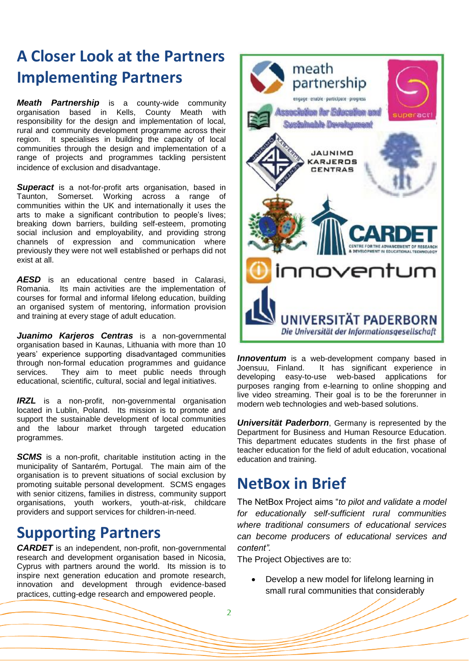# **A Closer Look at the Partners Implementing Partners**

*Meath Partnership* is a county-wide community organisation based in Kells, County Meath with responsibility for the design and implementation of local, rural and community development programme across their region. It specialises in building the capacity of local communities through the design and implementation of a range of projects and programmes tackling persistent incidence of exclusion and disadvantage.

**Superact** is a not-for-profit arts organisation, based in Taunton, Somerset. Working across a range of communities within the UK and internationally it uses the arts to make a significant contribution to people's lives; breaking down barriers, building self-esteem, promoting social inclusion and employability, and providing strong channels of expression and communication where previously they were not well established or perhaps did not exist at all.

*AESD* is an educational centre based in Calarasi, Romania. Its main activities are the implementation of courses for formal and informal lifelong education, building an organised system of mentoring, information provision and training at every stage of adult education.

*Juanimo Karjeros Centras* is a non-governmental organisation based in Kaunas, Lithuania with more than 10 years' experience supporting disadvantaged communities through non-formal education programmes and guidance services. They aim to meet public needs through educational, scientific, cultural, social and legal initiatives.

*IRZL* is a non-profit, non-governmental organisation located in Lublin, Poland. Its mission is to promote and support the sustainable development of local communities and the labour market through targeted education programmes.

**SCMS** is a non-profit, charitable institution acting in the municipality of Santarém, Portugal. The main aim of the organisation is to prevent situations of social exclusion by promoting suitable personal development. SCMS engages with senior citizens, families in distress, community support organisations, youth workers, youth-at-risk, childcare providers and support services for children-in-need.

## **Supporting Partners**

*CARDET* is an independent, non-profit, non-governmental research and development organisation based in Nicosia, Cyprus with partners around the world. Its mission is to inspire next generation education and promote research, innovation and development through evidence-based practices, cutting-edge research and empowered people.



**Innoventum** is a web-development company based in Joensuu, Finland. It has significant experience in developing easy-to-use web-based purposes ranging from e-learning to online shopping and live video streaming. Their goal is to be the forerunner in modern web technologies and web-based solutions.

*Universität Paderborn*, Germany is represented by the Department for Business and Human Resource Education. This department educates students in the first phase of teacher education for the field of adult education, vocational education and training.

## **NetBox in Brief**

The NetBox Project aims "*to pilot and validate a model for educationally self-sufficient rural communities where traditional consumers of educational services can become producers of educational services and content".*

The Project Objectives are to:

 Develop a new model for lifelong learning in small rural communities that considerably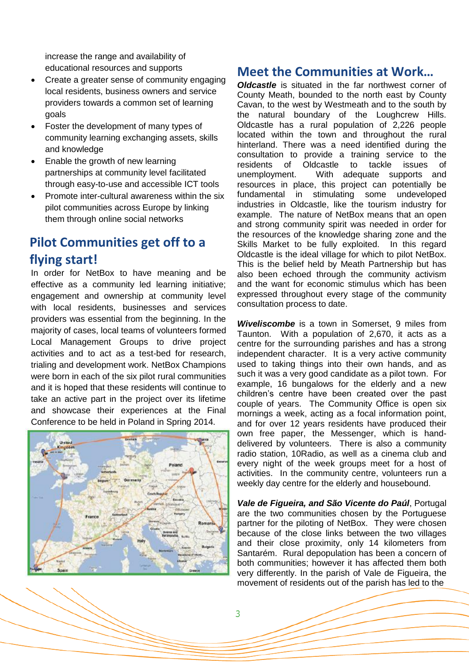increase the range and availability of educational resources and supports

- Create a greater sense of community engaging local residents, business owners and service providers towards a common set of learning goals
- Foster the development of many types of community learning exchanging assets, skills and knowledge
- Enable the growth of new learning partnerships at community level facilitated through easy-to-use and accessible ICT tools
- Promote inter-cultural awareness within the six pilot communities across Europe by linking them through online social networks

#### **Pilot Communities get off to a flying start!**

In order for NetBox to have meaning and be effective as a community led learning initiative; engagement and ownership at community level with local residents, businesses and services providers was essential from the beginning. In the majority of cases, local teams of volunteers formed Local Management Groups to drive project activities and to act as a test-bed for research, trialing and development work. NetBox Champions were born in each of the six pilot rural communities and it is hoped that these residents will continue to take an active part in the project over its lifetime and showcase their experiences at the Final Conference to be held in Poland in Spring 2014.



#### **Meet the Communities at Work…**

*Oldcastle* is situated in the far northwest corner of County Meath, bounded to the north east by County Cavan, to the west by Westmeath and to the south by the natural boundary of the Loughcrew Hills. Oldcastle has a rural population of 2,226 people located within the town and throughout the rural hinterland. There was a need identified during the consultation to provide a training service to the residents of Oldcastle to tackle issues of unemployment. With adequate supports and resources in place, this project can potentially be fundamental in stimulating some undeveloped industries in Oldcastle, like the tourism industry for example. The nature of NetBox means that an open and strong community spirit was needed in order for the resources of the knowledge sharing zone and the Skills Market to be fully exploited. In this regard Oldcastle is the ideal village for which to pilot NetBox. This is the belief held by Meath Partnership but has also been echoed through the community activism and the want for economic stimulus which has been expressed throughout every stage of the community consultation process to date.

*Wiveliscombe* is a town in Somerset, 9 miles from Taunton. With a population of 2,670, it acts as a centre for the surrounding parishes and has a strong independent character. It is a very active community used to taking things into their own hands, and as such it was a very good candidate as a pilot town. For example, 16 bungalows for the elderly and a new children's centre have been created over the past couple of years. The Community Office is open six mornings a week, acting as a focal information point, and for over 12 years residents have produced their own free paper, the Messenger, which is handdelivered by volunteers. There is also a community radio station, 10Radio, as well as a cinema club and every night of the week groups meet for a host of activities. In the community centre, volunteers run a weekly day centre for the elderly and housebound.

*Vale de Figueira, and São Vicente do Paúl*, Portugal are the two communities chosen by the Portuguese partner for the piloting of NetBox. They were chosen because of the close links between the two villages and their close proximity, only 14 kilometers from Santarém. Rural depopulation has been a concern of both communities; however it has affected them both very differently. In the parish of Vale de Figueira, the movement of residents out of the parish has led to the